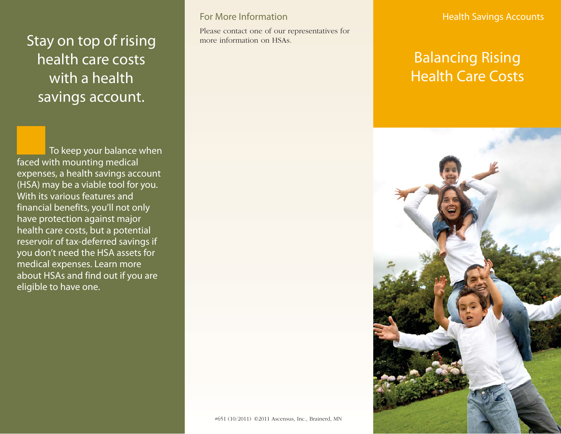# Stay on top of rising health care costs with a health savings account.

To keep your balance when faced with mounting medical expenses, a health savings account (HSA) may be a viable tool for you. With its various features and financial benefits, you'll not only have protection against major health care costs, but a potential reservoir of tax-deferred savings if you don't need the HSA assets for medical expenses. Learn more about HSAs and find out if you are eligible to have one.

#### For More Information

Please contact one of our representatives for more information on HSAs.

#### Health Savings Accounts

## Balancing Rising Health Care Costs